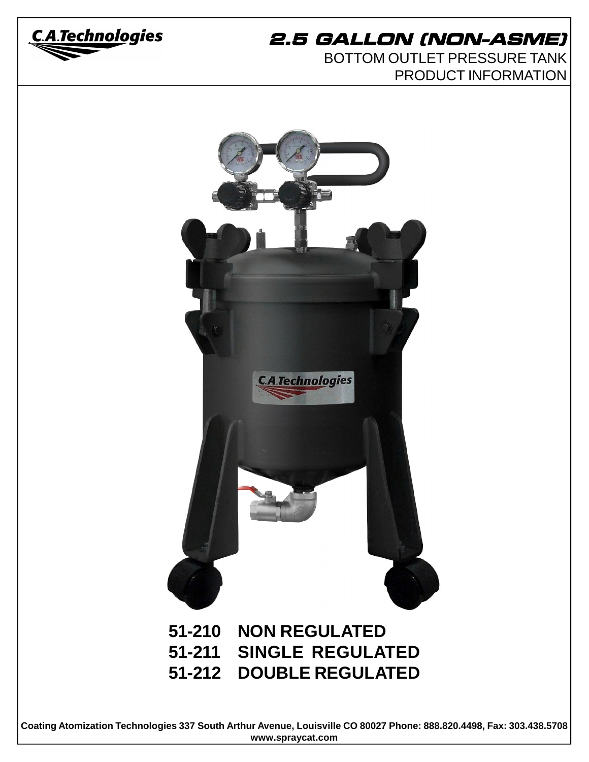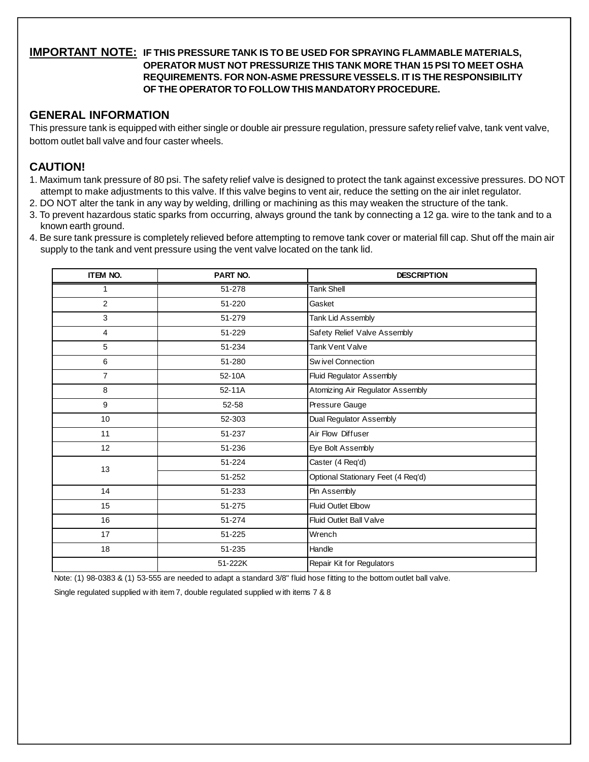## **IMPORTANT NOTE: IF THIS PRESSURE TANK IS TO BE USED FOR SPRAYING FLAMMABLE MATERIALS, OPERATOR MUST NOT PRESSURIZE THIS TANK MORE THAN 15 PSI TO MEET OSHA REQUIREMENTS. FOR NON-ASME PRESSURE VESSELS. IT IS THE RESPONSIBILITY OF THE OPERATOR TO FOLLOW THIS MANDATORY PROCEDURE.**

## **GENERAL INFORMATION**

This pressure tank is equipped with either single or double air pressure regulation, pressure safety relief valve, tank vent valve, bottom outlet ball valve and four caster wheels.

## **CAUTION!**

- 1. Maximum tank pressure of 80 psi. The safety relief valve is designed to protect the tank against excessive pressures. DO NOT attempt to make adjustments to this valve. If this valve begins to vent air, reduce the setting on the air inlet regulator.
- 2. DO NOT alter the tank in any way by welding, drilling or machining as this may weaken the structure of the tank.
- 3. To prevent hazardous static sparks from occurring, always ground the tank by connecting a 12 ga. wire to the tank and to a known earth ground.
- 4. Be sure tank pressure is completely relieved before attempting to remove tank cover or material fill cap. Shut off the main air supply to the tank and vent pressure using the vent valve located on the tank lid.

| <b>ITEM NO.</b> | PART NO. | <b>DESCRIPTION</b>                 |
|-----------------|----------|------------------------------------|
| 1               | 51-278   | Tank Shell                         |
| $\overline{2}$  | 51-220   | Gasket                             |
| 3               | 51-279   | Tank Lid Assembly                  |
| 4               | 51-229   | Safety Relief Valve Assembly       |
| 5               | 51-234   | Tank Vent Valve                    |
| 6               | 51-280   | Sw ivel Connection                 |
| $\overline{7}$  | 52-10A   | Fluid Regulator Assembly           |
| 8               | 52-11A   | Atomizing Air Regulator Assembly   |
| 9               | 52-58    | Pressure Gauge                     |
| 10              | 52-303   | Dual Regulator Assembly            |
| 11              | 51-237   | Air Flow Diffuser                  |
| 12              | 51-236   | Eye Bolt Assembly                  |
| 13              | 51-224   | Caster (4 Req'd)                   |
|                 | 51-252   | Optional Stationary Feet (4 Req'd) |
| 14              | 51-233   | Pin Assembly                       |
| 15              | 51-275   | Fluid Outlet Elbow                 |
| 16              | 51-274   | Fluid Outlet Ball Valve            |
| 17              | 51-225   | Wrench                             |
| 18              | 51-235   | Handle                             |
|                 | 51-222K  | Repair Kit for Regulators          |

Note: (1) 98-0383 & (1) 53-555 are needed to adapt a standard 3/8" fluid hose fitting to the bottom outlet ball valve.

Single regulated supplied w ith item 7, double regulated supplied w ith items 7 & 8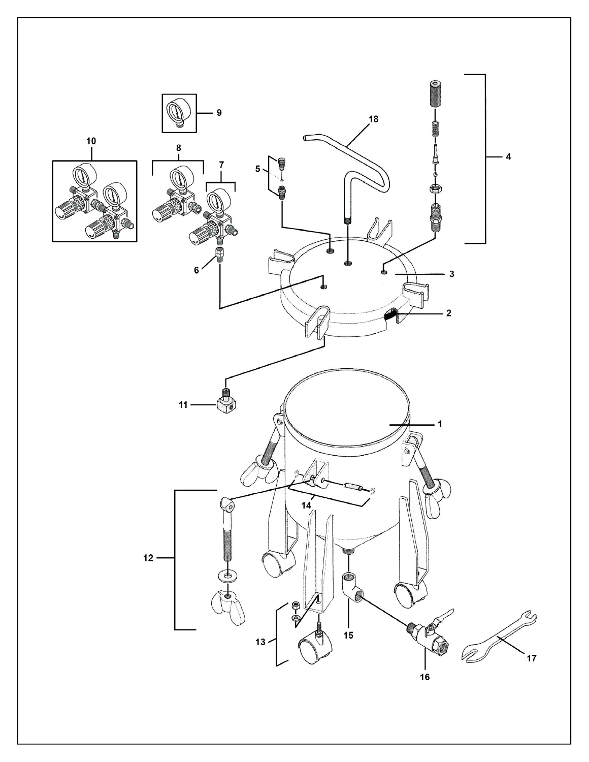